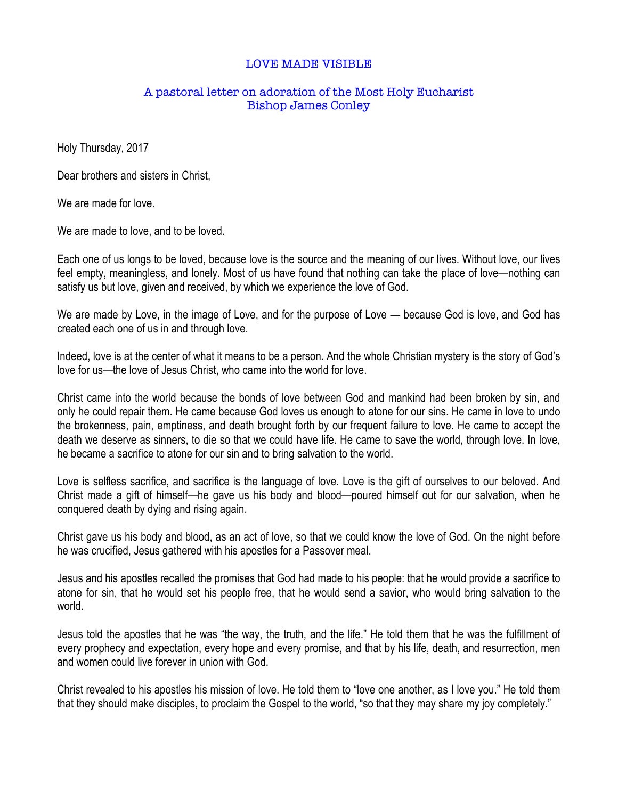## LOVE MADE VISIBLE

## A pastoral letter on adoration of the Most Holy Eucharist Bishop James Conley

Holy Thursday, 2017

Dear brothers and sisters in Christ,

We are made for love.

We are made to love, and to be loved.

Each one of us longs to be loved, because love is the source and the meaning of our lives. Without love, our lives feel empty, meaningless, and lonely. Most of us have found that nothing can take the place of love—nothing can satisfy us but love, given and received, by which we experience the love of God.

We are made by Love, in the image of Love, and for the purpose of Love — because God is love, and God has created each one of us in and through love.

Indeed, love is at the center of what it means to be a person. And the whole Christian mystery is the story of God's love for us—the love of Jesus Christ, who came into the world for love.

Christ came into the world because the bonds of love between God and mankind had been broken by sin, and only he could repair them. He came because God loves us enough to atone for our sins. He came in love to undo the brokenness, pain, emptiness, and death brought forth by our frequent failure to love. He came to accept the death we deserve as sinners, to die so that we could have life. He came to save the world, through love. In love, he became a sacrifice to atone for our sin and to bring salvation to the world.

Love is selfless sacrifice, and sacrifice is the language of love. Love is the gift of ourselves to our beloved. And Christ made a gift of himself—he gave us his body and blood—poured himself out for our salvation, when he conquered death by dying and rising again.

Christ gave us his body and blood, as an act of love, so that we could know the love of God. On the night before he was crucified, Jesus gathered with his apostles for a Passover meal.

Jesus and his apostles recalled the promises that God had made to his people: that he would provide a sacrifice to atone for sin, that he would set his people free, that he would send a savior, who would bring salvation to the world.

Jesus told the apostles that he was "the way, the truth, and the life." He told them that he was the fulfillment of every prophecy and expectation, every hope and every promise, and that by his life, death, and resurrection, men and women could live forever in union with God.

Christ revealed to his apostles his mission of love. He told them to "love one another, as I love you." He told them that they should make disciples, to proclaim the Gospel to the world, "so that they may share my joy completely."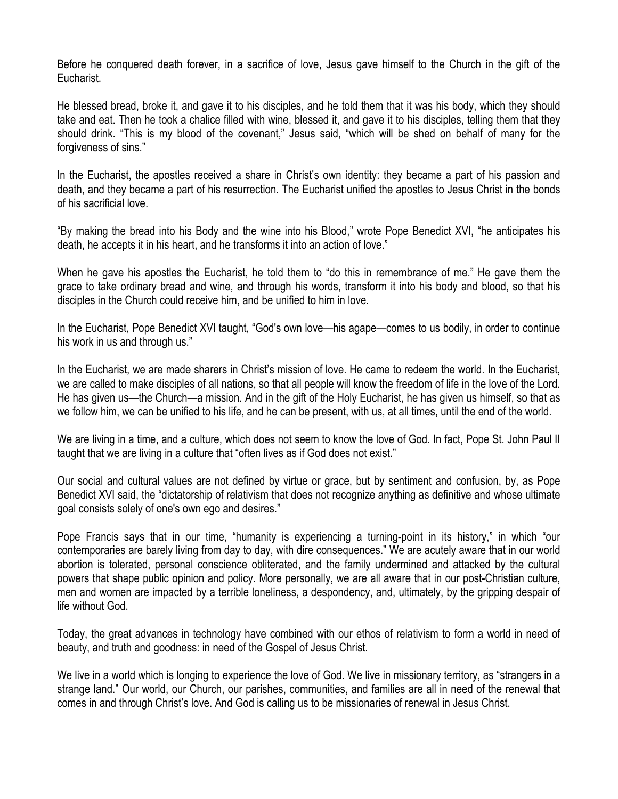Before he conquered death forever, in a sacrifice of love, Jesus gave himself to the Church in the gift of the Eucharist.

He blessed bread, broke it, and gave it to his disciples, and he told them that it was his body, which they should take and eat. Then he took a chalice filled with wine, blessed it, and gave it to his disciples, telling them that they should drink. "This is my blood of the covenant," Jesus said, "which will be shed on behalf of many for the forgiveness of sins."

In the Eucharist, the apostles received a share in Christ's own identity: they became a part of his passion and death, and they became a part of his resurrection. The Eucharist unified the apostles to Jesus Christ in the bonds of his sacrificial love.

"By making the bread into his Body and the wine into his Blood," wrote Pope Benedict XVI, "he anticipates his death, he accepts it in his heart, and he transforms it into an action of love."

When he gave his apostles the Eucharist, he told them to "do this in remembrance of me." He gave them the grace to take ordinary bread and wine, and through his words, transform it into his body and blood, so that his disciples in the Church could receive him, and be unified to him in love.

In the Eucharist, Pope Benedict XVI taught, "God's own love—his agape—comes to us bodily, in order to continue his work in us and through us."

In the Eucharist, we are made sharers in Christ's mission of love. He came to redeem the world. In the Eucharist, we are called to make disciples of all nations, so that all people will know the freedom of life in the love of the Lord. He has given us—the Church—a mission. And in the gift of the Holy Eucharist, he has given us himself, so that as we follow him, we can be unified to his life, and he can be present, with us, at all times, until the end of the world.

We are living in a time, and a culture, which does not seem to know the love of God. In fact, Pope St. John Paul II taught that we are living in a culture that "often lives as if God does not exist."

Our social and cultural values are not defined by virtue or grace, but by sentiment and confusion, by, as Pope Benedict XVI said, the "dictatorship of relativism that does not recognize anything as definitive and whose ultimate goal consists solely of one's own ego and desires."

Pope Francis says that in our time, "humanity is experiencing a turning-point in its history," in which "our contemporaries are barely living from day to day, with dire consequences." We are acutely aware that in our world abortion is tolerated, personal conscience obliterated, and the family undermined and attacked by the cultural powers that shape public opinion and policy. More personally, we are all aware that in our post-Christian culture, men and women are impacted by a terrible loneliness, a despondency, and, ultimately, by the gripping despair of life without God.

Today, the great advances in technology have combined with our ethos of relativism to form a world in need of beauty, and truth and goodness: in need of the Gospel of Jesus Christ.

We live in a world which is longing to experience the love of God. We live in missionary territory, as "strangers in a strange land." Our world, our Church, our parishes, communities, and families are all in need of the renewal that comes in and through Christ's love. And God is calling us to be missionaries of renewal in Jesus Christ.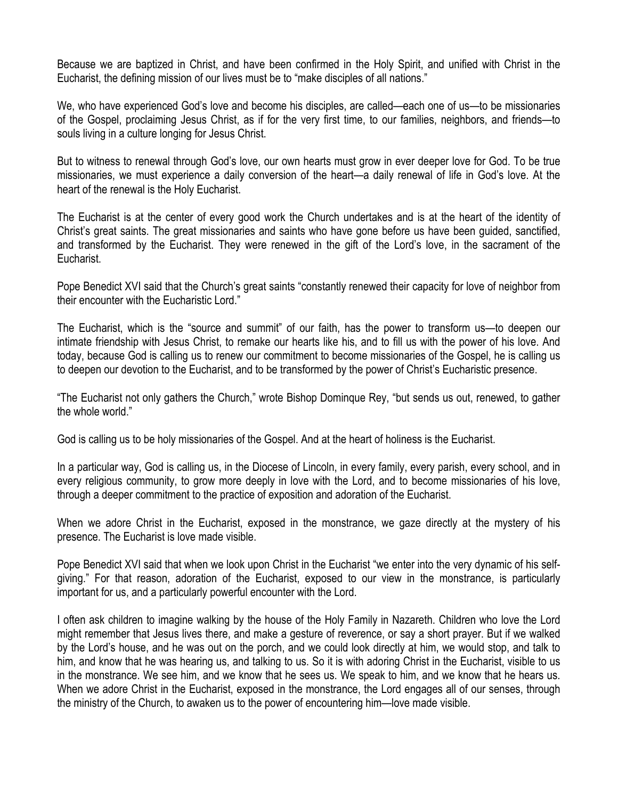Because we are baptized in Christ, and have been confirmed in the Holy Spirit, and unified with Christ in the Eucharist, the defining mission of our lives must be to "make disciples of all nations."

We, who have experienced God's love and become his disciples, are called—each one of us—to be missionaries of the Gospel, proclaiming Jesus Christ, as if for the very first time, to our families, neighbors, and friends—to souls living in a culture longing for Jesus Christ.

But to witness to renewal through God's love, our own hearts must grow in ever deeper love for God. To be true missionaries, we must experience a daily conversion of the heart—a daily renewal of life in God's love. At the heart of the renewal is the Holy Eucharist.

The Eucharist is at the center of every good work the Church undertakes and is at the heart of the identity of Christ's great saints. The great missionaries and saints who have gone before us have been guided, sanctified, and transformed by the Eucharist. They were renewed in the gift of the Lord's love, in the sacrament of the Eucharist.

Pope Benedict XVI said that the Church's great saints "constantly renewed their capacity for love of neighbor from their encounter with the Eucharistic Lord."

The Eucharist, which is the "source and summit" of our faith, has the power to transform us—to deepen our intimate friendship with Jesus Christ, to remake our hearts like his, and to fill us with the power of his love. And today, because God is calling us to renew our commitment to become missionaries of the Gospel, he is calling us to deepen our devotion to the Eucharist, and to be transformed by the power of Christ's Eucharistic presence.

"The Eucharist not only gathers the Church," wrote Bishop Dominque Rey, "but sends us out, renewed, to gather the whole world."

God is calling us to be holy missionaries of the Gospel. And at the heart of holiness is the Eucharist.

In a particular way, God is calling us, in the Diocese of Lincoln, in every family, every parish, every school, and in every religious community, to grow more deeply in love with the Lord, and to become missionaries of his love, through a deeper commitment to the practice of exposition and adoration of the Eucharist.

When we adore Christ in the Eucharist, exposed in the monstrance, we gaze directly at the mystery of his presence. The Eucharist is love made visible.

Pope Benedict XVI said that when we look upon Christ in the Eucharist "we enter into the very dynamic of his selfgiving." For that reason, adoration of the Eucharist, exposed to our view in the monstrance, is particularly important for us, and a particularly powerful encounter with the Lord.

I often ask children to imagine walking by the house of the Holy Family in Nazareth. Children who love the Lord might remember that Jesus lives there, and make a gesture of reverence, or say a short prayer. But if we walked by the Lord's house, and he was out on the porch, and we could look directly at him, we would stop, and talk to him, and know that he was hearing us, and talking to us. So it is with adoring Christ in the Eucharist, visible to us in the monstrance. We see him, and we know that he sees us. We speak to him, and we know that he hears us. When we adore Christ in the Eucharist, exposed in the monstrance, the Lord engages all of our senses, through the ministry of the Church, to awaken us to the power of encountering him—love made visible.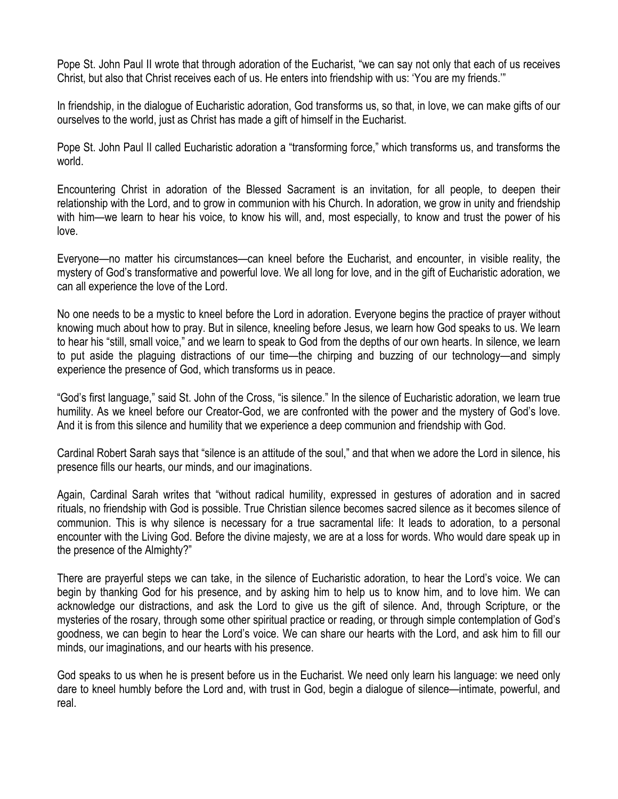Pope St. John Paul II wrote that through adoration of the Eucharist, "we can say not only that each of us receives Christ, but also that Christ receives each of us. He enters into friendship with us: 'You are my friends.'"

In friendship, in the dialogue of Eucharistic adoration, God transforms us, so that, in love, we can make gifts of our ourselves to the world, just as Christ has made a gift of himself in the Eucharist.

Pope St. John Paul II called Eucharistic adoration a "transforming force," which transforms us, and transforms the world.

Encountering Christ in adoration of the Blessed Sacrament is an invitation, for all people, to deepen their relationship with the Lord, and to grow in communion with his Church. In adoration, we grow in unity and friendship with him—we learn to hear his voice, to know his will, and, most especially, to know and trust the power of his love.

Everyone—no matter his circumstances—can kneel before the Eucharist, and encounter, in visible reality, the mystery of God's transformative and powerful love. We all long for love, and in the gift of Eucharistic adoration, we can all experience the love of the Lord.

No one needs to be a mystic to kneel before the Lord in adoration. Everyone begins the practice of prayer without knowing much about how to pray. But in silence, kneeling before Jesus, we learn how God speaks to us. We learn to hear his "still, small voice," and we learn to speak to God from the depths of our own hearts. In silence, we learn to put aside the plaguing distractions of our time—the chirping and buzzing of our technology—and simply experience the presence of God, which transforms us in peace.

"God's first language," said St. John of the Cross, "is silence." In the silence of Eucharistic adoration, we learn true humility. As we kneel before our Creator-God, we are confronted with the power and the mystery of God's love. And it is from this silence and humility that we experience a deep communion and friendship with God.

Cardinal Robert Sarah says that "silence is an attitude of the soul," and that when we adore the Lord in silence, his presence fills our hearts, our minds, and our imaginations.

Again, Cardinal Sarah writes that "without radical humility, expressed in gestures of adoration and in sacred rituals, no friendship with God is possible. True Christian silence becomes sacred silence as it becomes silence of communion. This is why silence is necessary for a true sacramental life: It leads to adoration, to a personal encounter with the Living God. Before the divine majesty, we are at a loss for words. Who would dare speak up in the presence of the Almighty?"

There are prayerful steps we can take, in the silence of Eucharistic adoration, to hear the Lord's voice. We can begin by thanking God for his presence, and by asking him to help us to know him, and to love him. We can acknowledge our distractions, and ask the Lord to give us the gift of silence. And, through Scripture, or the mysteries of the rosary, through some other spiritual practice or reading, or through simple contemplation of God's goodness, we can begin to hear the Lord's voice. We can share our hearts with the Lord, and ask him to fill our minds, our imaginations, and our hearts with his presence.

God speaks to us when he is present before us in the Eucharist. We need only learn his language: we need only dare to kneel humbly before the Lord and, with trust in God, begin a dialogue of silence—intimate, powerful, and real.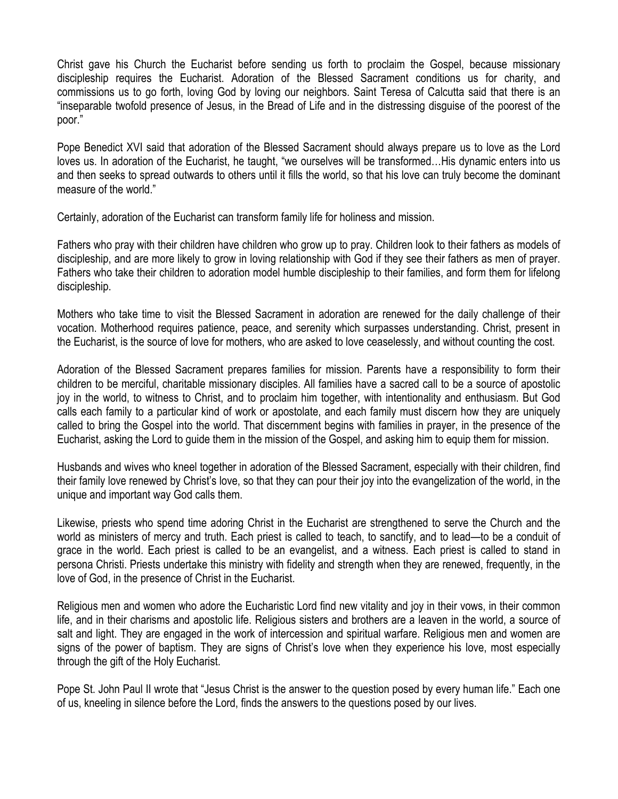Christ gave his Church the Eucharist before sending us forth to proclaim the Gospel, because missionary discipleship requires the Eucharist. Adoration of the Blessed Sacrament conditions us for charity, and commissions us to go forth, loving God by loving our neighbors. Saint Teresa of Calcutta said that there is an "inseparable twofold presence of Jesus, in the Bread of Life and in the distressing disguise of the poorest of the poor."

Pope Benedict XVI said that adoration of the Blessed Sacrament should always prepare us to love as the Lord loves us. In adoration of the Eucharist, he taught, "we ourselves will be transformed…His dynamic enters into us and then seeks to spread outwards to others until it fills the world, so that his love can truly become the dominant measure of the world."

Certainly, adoration of the Eucharist can transform family life for holiness and mission.

Fathers who pray with their children have children who grow up to pray. Children look to their fathers as models of discipleship, and are more likely to grow in loving relationship with God if they see their fathers as men of prayer. Fathers who take their children to adoration model humble discipleship to their families, and form them for lifelong discipleship.

Mothers who take time to visit the Blessed Sacrament in adoration are renewed for the daily challenge of their vocation. Motherhood requires patience, peace, and serenity which surpasses understanding. Christ, present in the Eucharist, is the source of love for mothers, who are asked to love ceaselessly, and without counting the cost.

Adoration of the Blessed Sacrament prepares families for mission. Parents have a responsibility to form their children to be merciful, charitable missionary disciples. All families have a sacred call to be a source of apostolic joy in the world, to witness to Christ, and to proclaim him together, with intentionality and enthusiasm. But God calls each family to a particular kind of work or apostolate, and each family must discern how they are uniquely called to bring the Gospel into the world. That discernment begins with families in prayer, in the presence of the Eucharist, asking the Lord to guide them in the mission of the Gospel, and asking him to equip them for mission.

Husbands and wives who kneel together in adoration of the Blessed Sacrament, especially with their children, find their family love renewed by Christ's love, so that they can pour their joy into the evangelization of the world, in the unique and important way God calls them.

Likewise, priests who spend time adoring Christ in the Eucharist are strengthened to serve the Church and the world as ministers of mercy and truth. Each priest is called to teach, to sanctify, and to lead—to be a conduit of grace in the world. Each priest is called to be an evangelist, and a witness. Each priest is called to stand in persona Christi. Priests undertake this ministry with fidelity and strength when they are renewed, frequently, in the love of God, in the presence of Christ in the Eucharist.

Religious men and women who adore the Eucharistic Lord find new vitality and joy in their vows, in their common life, and in their charisms and apostolic life. Religious sisters and brothers are a leaven in the world, a source of salt and light. They are engaged in the work of intercession and spiritual warfare. Religious men and women are signs of the power of baptism. They are signs of Christ's love when they experience his love, most especially through the gift of the Holy Eucharist.

Pope St. John Paul II wrote that "Jesus Christ is the answer to the question posed by every human life." Each one of us, kneeling in silence before the Lord, finds the answers to the questions posed by our lives.